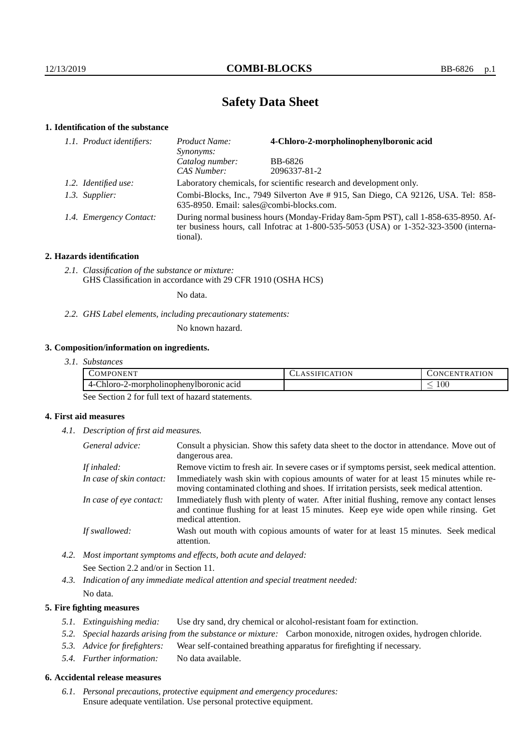# **Safety Data Sheet**

# **1. Identification of the substance**

| 1.1. Product identifiers: | 4-Chloro-2-morpholinophenylboronic acid<br>Product Name:<br>Synonyms:                                                                                                                       |              |  |
|---------------------------|---------------------------------------------------------------------------------------------------------------------------------------------------------------------------------------------|--------------|--|
|                           | Catalog number:                                                                                                                                                                             | BB-6826      |  |
|                           | CAS Number:                                                                                                                                                                                 | 2096337-81-2 |  |
| 1.2. Identified use:      | Laboratory chemicals, for scientific research and development only.                                                                                                                         |              |  |
| 1.3. Supplier:            | Combi-Blocks, Inc., 7949 Silverton Ave #915, San Diego, CA 92126, USA. Tel: 858-<br>635-8950. Email: sales@combi-blocks.com.                                                                |              |  |
| 1.4. Emergency Contact:   | During normal business hours (Monday-Friday 8am-5pm PST), call 1-858-635-8950. Af-<br>ter business hours, call Infotrac at $1-800-535-5053$ (USA) or $1-352-323-3500$ (interna-<br>tional). |              |  |

## **2. Hazards identification**

*2.1. Classification of the substance or mixture:* GHS Classification in accordance with 29 CFR 1910 (OSHA HCS)

No data.

*2.2. GHS Label elements, including precautionary statements:*

No known hazard.

# **3. Composition/information on ingredients.**

| .OMP<br>ורו<br><b>HN</b>                                                                                                          | $\sim$ $\cdot$ $\cdot$<br>ΙN | ١N<br>N<br>к<br>w<br>$\overline{D}$ |
|-----------------------------------------------------------------------------------------------------------------------------------|------------------------------|-------------------------------------|
| $\overline{\phantom{a}}$<br>າIoro-∶<br>La se cose le cose y<br>$\lambda$ -mornh<br>acıd:<br>4-U<br>. )TIIC<br>mne<br>nor<br>nnoun |                              | 100<br>$\overline{\phantom{a}}$     |

See Section 2 for full text of hazard statements.

# **4. First aid measures**

*4.1. Description of first aid measures.*

| General advice:          | Consult a physician. Show this safety data sheet to the doctor in attendance. Move out of<br>dangerous area.                                                                                            |
|--------------------------|---------------------------------------------------------------------------------------------------------------------------------------------------------------------------------------------------------|
| If inhaled:              | Remove victim to fresh air. In severe cases or if symptoms persist, seek medical attention.                                                                                                             |
| In case of skin contact: | Immediately wash skin with copious amounts of water for at least 15 minutes while re-<br>moving contaminated clothing and shoes. If irritation persists, seek medical attention.                        |
| In case of eye contact:  | Immediately flush with plenty of water. After initial flushing, remove any contact lenses<br>and continue flushing for at least 15 minutes. Keep eye wide open while rinsing. Get<br>medical attention. |
| If swallowed:            | Wash out mouth with copious amounts of water for at least 15 minutes. Seek medical<br>attention.                                                                                                        |

*4.2. Most important symptoms and effects, both acute and delayed:* See Section 2.2 and/or in Section 11.

*4.3. Indication of any immediate medical attention and special treatment needed:* No data.

## **5. Fire fighting measures**

- *5.1. Extinguishing media:* Use dry sand, dry chemical or alcohol-resistant foam for extinction.
- *5.2. Special hazards arising from the substance or mixture:* Carbon monoxide, nitrogen oxides, hydrogen chloride.
- *5.3. Advice for firefighters:* Wear self-contained breathing apparatus for firefighting if necessary.
- *5.4. Further information:* No data available.

#### **6. Accidental release measures**

*6.1. Personal precautions, protective equipment and emergency procedures:* Ensure adequate ventilation. Use personal protective equipment.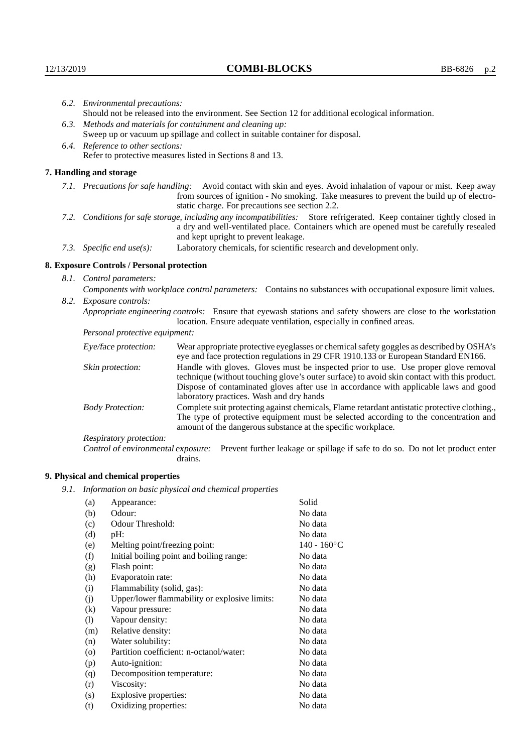| 6.2. Environmental precautions:                             |                                                                                                                                                                                                                                                            |                                                                                                                                                                                                                                                                    |  |
|-------------------------------------------------------------|------------------------------------------------------------------------------------------------------------------------------------------------------------------------------------------------------------------------------------------------------------|--------------------------------------------------------------------------------------------------------------------------------------------------------------------------------------------------------------------------------------------------------------------|--|
|                                                             | Should not be released into the environment. See Section 12 for additional ecological information.                                                                                                                                                         |                                                                                                                                                                                                                                                                    |  |
| 6.3. Methods and materials for containment and cleaning up: |                                                                                                                                                                                                                                                            |                                                                                                                                                                                                                                                                    |  |
|                                                             | Sweep up or vacuum up spillage and collect in suitable container for disposal.                                                                                                                                                                             |                                                                                                                                                                                                                                                                    |  |
|                                                             | 6.4. Reference to other sections:                                                                                                                                                                                                                          |                                                                                                                                                                                                                                                                    |  |
|                                                             |                                                                                                                                                                                                                                                            | Refer to protective measures listed in Sections 8 and 13.                                                                                                                                                                                                          |  |
|                                                             | 7. Handling and storage                                                                                                                                                                                                                                    |                                                                                                                                                                                                                                                                    |  |
|                                                             |                                                                                                                                                                                                                                                            | 7.1. Precautions for safe handling: Avoid contact with skin and eyes. Avoid inhalation of vapour or mist. Keep away<br>from sources of ignition - No smoking. Take measures to prevent the build up of electro-<br>static charge. For precautions see section 2.2. |  |
|                                                             | 7.2. Conditions for safe storage, including any incompatibilities: Store refrigerated. Keep container tightly closed in<br>a dry and well-ventilated place. Containers which are opened must be carefully resealed<br>and kept upright to prevent leakage. |                                                                                                                                                                                                                                                                    |  |
|                                                             | Laboratory chemicals, for scientific research and development only.<br>7.3. Specific end use(s):                                                                                                                                                           |                                                                                                                                                                                                                                                                    |  |
|                                                             | 8. Exposure Controls / Personal protection                                                                                                                                                                                                                 |                                                                                                                                                                                                                                                                    |  |
|                                                             | 8.1. Control parameters:                                                                                                                                                                                                                                   |                                                                                                                                                                                                                                                                    |  |
|                                                             | Components with workplace control parameters: Contains no substances with occupational exposure limit values.                                                                                                                                              |                                                                                                                                                                                                                                                                    |  |
|                                                             | 8.2. Exposure controls:                                                                                                                                                                                                                                    |                                                                                                                                                                                                                                                                    |  |
|                                                             | Appropriate engineering controls: Ensure that eyewash stations and safety showers are close to the workstation<br>location. Ensure adequate ventilation, especially in confined areas.                                                                     |                                                                                                                                                                                                                                                                    |  |
|                                                             | Personal protective equipment:                                                                                                                                                                                                                             |                                                                                                                                                                                                                                                                    |  |
|                                                             | Eye/face protection:                                                                                                                                                                                                                                       | Wear appropriate protective eyeglasses or chemical safety goggles as described by OSHA's<br>eye and face protection regulations in 29 CFR 1910.133 or European Standard EN166.                                                                                     |  |
|                                                             | Skin protection:                                                                                                                                                                                                                                           | Handle with gloves. Gloves must be inspected prior to use. Use proper glove removal<br>technique (without touching glove's outer surface) to avoid skin contact with this product.                                                                                 |  |

| Eye/face protection:               | Wear appropriate protective eyeglasses or chemical safety goggles as described by OSHA's<br>eye and face protection regulations in 29 CFR 1910.133 or European Standard EN166.                                                                                                                                         |  |  |
|------------------------------------|------------------------------------------------------------------------------------------------------------------------------------------------------------------------------------------------------------------------------------------------------------------------------------------------------------------------|--|--|
| Skin protection:                   | Handle with gloves. Gloves must be inspected prior to use. Use proper glove removal<br>technique (without touching glove's outer surface) to avoid skin contact with this product.<br>Dispose of contaminated gloves after use in accordance with applicable laws and good<br>laboratory practices. Wash and dry hands |  |  |
| <b>Body Protection:</b>            | Complete suit protecting against chemicals, Flame retardant antistatic protective clothing.,<br>The type of protective equipment must be selected according to the concentration and<br>amount of the dangerous substance at the specific workplace.                                                                   |  |  |
| Respiratory protection:            |                                                                                                                                                                                                                                                                                                                        |  |  |
| Control of environmental exposure: | Prevent further leakage or spillage if safe to do so. Do not let product enter<br>drains.                                                                                                                                                                                                                              |  |  |

# **9. Physical and chemical properties**

*9.1. Information on basic physical and chemical properties*

| (a)      | Appearance:                                   | Solid          |
|----------|-----------------------------------------------|----------------|
|          | Odour:                                        | No data        |
| (b)      |                                               |                |
| (c)      | Odour Threshold:                              | No data        |
| (d)      | $pH$ :                                        | No data        |
| (e)      | Melting point/freezing point:                 | $140 - 160$ °C |
| (f)      | Initial boiling point and boiling range:      | No data        |
| (g)      | Flash point:                                  | No data        |
| (h)      | Evaporatoin rate:                             | No data        |
| (i)      | Flammability (solid, gas):                    | No data        |
| (j)      | Upper/lower flammability or explosive limits: | No data        |
| $\rm(k)$ | Vapour pressure:                              | No data        |
| (1)      | Vapour density:                               | No data        |
| (m)      | Relative density:                             | No data        |
| (n)      | Water solubility:                             | No data        |
| $\circ$  | Partition coefficient: n-octanol/water:       | No data        |
| (p)      | Auto-ignition:                                | No data        |
| (q)      | Decomposition temperature:                    | No data        |
| (r)      | Viscosity:                                    | No data        |
| (s)      | Explosive properties:                         | No data        |
| (t)      | Oxidizing properties:                         | No data        |
|          |                                               |                |